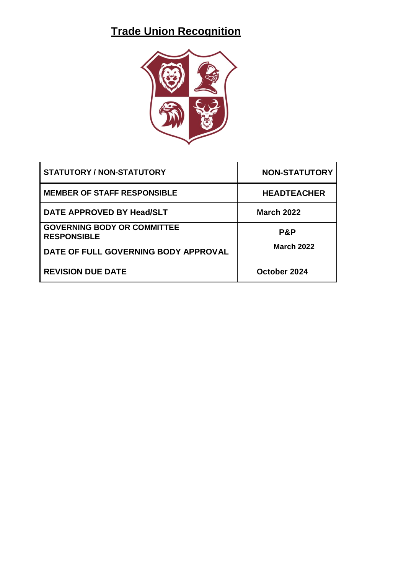# **Trade Union Recognition**



| <b>STATUTORY / NON-STATUTORY</b>                         | <b>NON-STATUTORY</b> |
|----------------------------------------------------------|----------------------|
| <b>MEMBER OF STAFF RESPONSIBLE</b>                       | <b>HEADTEACHER</b>   |
| DATE APPROVED BY Head/SLT                                | <b>March 2022</b>    |
| <b>GOVERNING BODY OR COMMITTEE</b><br><b>RESPONSIBLE</b> | P&P                  |
| DATE OF FULL GOVERNING BODY APPROVAL                     | <b>March 2022</b>    |
| <b>REVISION DUE DATE</b>                                 | October 2024         |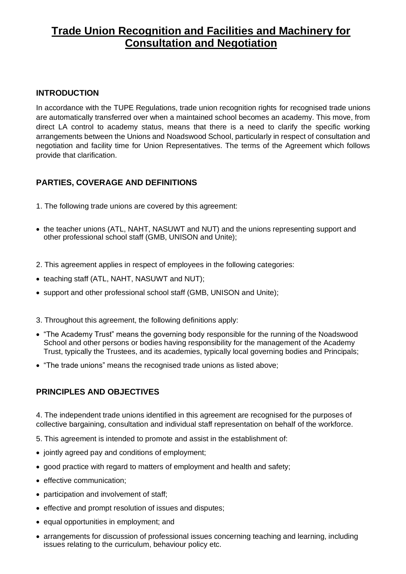## **Trade Union Recognition and Facilities and Machinery for Consultation and Negotiation**

## **INTRODUCTION**

In accordance with the TUPE Regulations, trade union recognition rights for recognised trade unions are automatically transferred over when a maintained school becomes an academy. This move, from direct LA control to academy status, means that there is a need to clarify the specific working arrangements between the Unions and Noadswood School, particularly in respect of consultation and negotiation and facility time for Union Representatives. The terms of the Agreement which follows provide that clarification.

## **PARTIES, COVERAGE AND DEFINITIONS**

- 1. The following trade unions are covered by this agreement:
- the teacher unions (ATL, NAHT, NASUWT and NUT) and the unions representing support and other professional school staff (GMB, UNISON and Unite);
- 2. This agreement applies in respect of employees in the following categories:
- teaching staff (ATL, NAHT, NASUWT and NUT);
- support and other professional school staff (GMB, UNISON and Unite);
- 3. Throughout this agreement, the following definitions apply:
- "The Academy Trust" means the governing body responsible for the running of the Noadswood School and other persons or bodies having responsibility for the management of the Academy Trust, typically the Trustees, and its academies, typically local governing bodies and Principals;
- "The trade unions" means the recognised trade unions as listed above;

## **PRINCIPLES AND OBJECTIVES**

4. The independent trade unions identified in this agreement are recognised for the purposes of collective bargaining, consultation and individual staff representation on behalf of the workforce.

- 5. This agreement is intended to promote and assist in the establishment of:
- jointly agreed pay and conditions of employment;
- good practice with regard to matters of employment and health and safety;
- effective communication;
- participation and involvement of staff;
- effective and prompt resolution of issues and disputes;
- equal opportunities in employment; and
- arrangements for discussion of professional issues concerning teaching and learning, including issues relating to the curriculum, behaviour policy etc.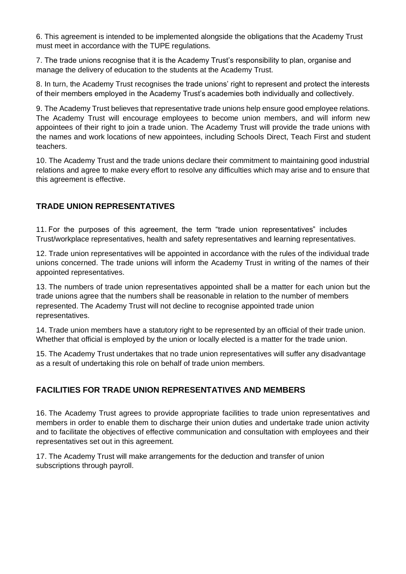6. This agreement is intended to be implemented alongside the obligations that the Academy Trust must meet in accordance with the TUPE regulations.

7. The trade unions recognise that it is the Academy Trust's responsibility to plan, organise and manage the delivery of education to the students at the Academy Trust.

8. In turn, the Academy Trust recognises the trade unions' right to represent and protect the interests of their members employed in the Academy Trust's academies both individually and collectively.

9. The Academy Trust believes that representative trade unions help ensure good employee relations. The Academy Trust will encourage employees to become union members, and will inform new appointees of their right to join a trade union. The Academy Trust will provide the trade unions with the names and work locations of new appointees, including Schools Direct, Teach First and student teachers.

10. The Academy Trust and the trade unions declare their commitment to maintaining good industrial relations and agree to make every effort to resolve any difficulties which may arise and to ensure that this agreement is effective.

## **TRADE UNION REPRESENTATIVES**

11. For the purposes of this agreement, the term "trade union representatives" includes Trust/workplace representatives, health and safety representatives and learning representatives.

12. Trade union representatives will be appointed in accordance with the rules of the individual trade unions concerned. The trade unions will inform the Academy Trust in writing of the names of their appointed representatives.

13. The numbers of trade union representatives appointed shall be a matter for each union but the trade unions agree that the numbers shall be reasonable in relation to the number of members represented. The Academy Trust will not decline to recognise appointed trade union representatives.

14. Trade union members have a statutory right to be represented by an official of their trade union. Whether that official is employed by the union or locally elected is a matter for the trade union.

15. The Academy Trust undertakes that no trade union representatives will suffer any disadvantage as a result of undertaking this role on behalf of trade union members.

## **FACILITIES FOR TRADE UNION REPRESENTATIVES AND MEMBERS**

16. The Academy Trust agrees to provide appropriate facilities to trade union representatives and members in order to enable them to discharge their union duties and undertake trade union activity and to facilitate the objectives of effective communication and consultation with employees and their representatives set out in this agreement.

17. The Academy Trust will make arrangements for the deduction and transfer of union subscriptions through payroll.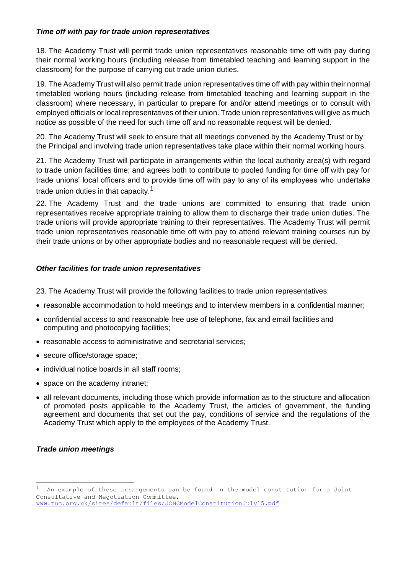#### *Time off with pay for trade union representatives*

18. The Academy Trust will permit trade union representatives reasonable time off with pay during their normal working hours (including release from timetabled teaching and learning support in the classroom) for the purpose of carrying out trade union duties.

19. The Academy Trust will also permit trade union representatives time off with pay within their normal timetabled working hours (including release from timetabled teaching and learning support in the classroom) where necessary, in particular to prepare for and/or attend meetings or to consult with employed officials or local representatives of their union. Trade union representatives will give as much notice as possible of the need for such time off and no reasonable request will be denied.

20. The Academy Trust will seek to ensure that all meetings convened by the Academy Trust or by the Principal and involving trade union representatives take place within their normal working hours.

21. The Academy Trust will participate in arrangements within the local authority area(s) with regard to trade union facilities time; and agrees both to contribute to pooled funding for time off with pay for trade unions' local officers and to provide time off with pay to any of its employees who undertake trade union duties in that capacity.<sup>1</sup>

22. The Academy Trust and the trade unions are committed to ensuring that trade union representatives receive appropriate training to allow them to discharge their trade union duties. The trade unions will provide appropriate training to their representatives. The Academy Trust will permit trade union representatives reasonable time off with pay to attend relevant training courses run by their trade unions or by other appropriate bodies and no reasonable request will be denied.

#### *Other facilities for trade union representatives*

23. The Academy Trust will provide the following facilities to trade union representatives:

- reasonable accommodation to hold meetings and to interview members in a confidential manner;
- confidential access to and reasonable free use of telephone, fax and email facilities and computing and photocopying facilities;
- reasonable access to administrative and secretarial services;
- secure office/storage space;
- individual notice boards in all staff rooms;
- space on the academy intranet;
- all relevant documents, including those which provide information as to the structure and allocation of promoted posts applicable to the Academy Trust, the articles of government, the funding agreement and documents that set out the pay, conditions of service and the regulations of the Academy Trust which apply to the employees of the Academy Trust.

#### *Trade union meetings*

 $1$  An example of these arrangements can be found in the model constitution for a Joint Consultative and Negotiation Committee, [www.tuc.org.uk/sites/default/files/JCNCModelConstitutionJuly15.pdf](http://www.tuc.org.uk/sites/default/files/JCNCModelConstitutionJuly15.pdf)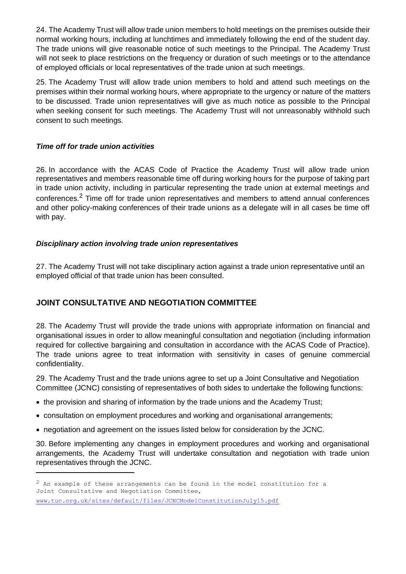24. The Academy Trust will allow trade union members to hold meetings on the premises outside their normal working hours, including at lunchtimes and immediately following the end of the student day. The trade unions will give reasonable notice of such meetings to the Principal. The Academy Trust will not seek to place restrictions on the frequency or duration of such meetings or to the attendance of employed officials or local representatives of the trade union at such meetings.

25. The Academy Trust will allow trade union members to hold and attend such meetings on the premises within their normal working hours, where appropriate to the urgency or nature of the matters to be discussed. Trade union representatives will give as much notice as possible to the Principal when seeking consent for such meetings. The Academy Trust will not unreasonably withhold such consent to such meetings.

#### *Time off for trade union activities*

26. In accordance with the ACAS Code of Practice the Academy Trust will allow trade union representatives and members reasonable time off during working hours for the purpose of taking part in trade union activity, including in particular representing the trade union at external meetings and conferences.<sup>2</sup> Time off for trade union representatives and members to attend annual conferences and other policy-making conferences of their trade unions as a delegate will in all cases be time off with pay.

#### *Disciplinary action involving trade union representatives*

27. The Academy Trust will not take disciplinary action against a trade union representative until an employed official of that trade union has been consulted.

## **JOINT CONSULTATIVE AND NEGOTIATION COMMITTEE**

28. The Academy Trust will provide the trade unions with appropriate information on financial and organisational issues in order to allow meaningful consultation and negotiation (including information required for collective bargaining and consultation in accordance with the ACAS Code of Practice). The trade unions agree to treat information with sensitivity in cases of genuine commercial confidentiality.

29. The Academy Trust and the trade unions agree to set up a Joint Consultative and Negotiation Committee (JCNC) consisting of representatives of both sides to undertake the following functions:

- the provision and sharing of information by the trade unions and the Academy Trust;
- consultation on employment procedures and working and organisational arrangements;
- negotiation and agreement on the issues listed below for consideration by the JCNC.

30. Before implementing any changes in employment procedures and working and organisational arrangements, the Academy Trust will undertake consultation and negotiation with trade union representatives through the JCNC.

 $2$  An example of these arrangements can be found in the model constitution for a Joint Consultative and Negotiation Committee, [www.tuc.org.uk/sites/default/files/JCNCModelConstitutionJuly15.pdf](http://www.tuc.org.uk/sites/default/files/JCNCModelConstitutionJuly15.pdf)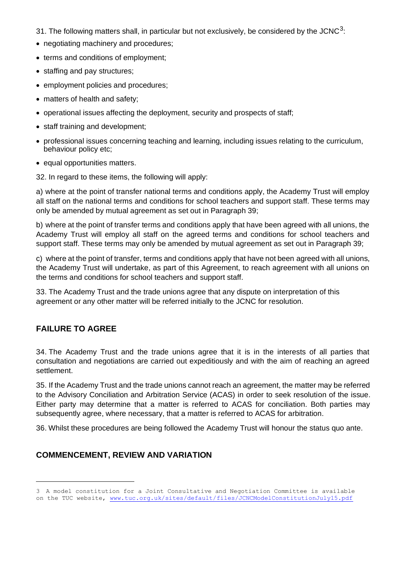- 31. The following matters shall, in particular but not exclusively, be considered by the JCNC<sup>3</sup>:
- negotiating machinery and procedures:
- terms and conditions of employment;
- staffing and pay structures:
- employment policies and procedures;
- matters of health and safety;
- operational issues affecting the deployment, security and prospects of staff;
- staff training and development;
- professional issues concerning teaching and learning, including issues relating to the curriculum, behaviour policy etc;
- equal opportunities matters.
- 32. In regard to these items, the following will apply:

a) where at the point of transfer national terms and conditions apply, the Academy Trust will employ all staff on the national terms and conditions for school teachers and support staff. These terms may only be amended by mutual agreement as set out in Paragraph 39;

b) where at the point of transfer terms and conditions apply that have been agreed with all unions, the Academy Trust will employ all staff on the agreed terms and conditions for school teachers and support staff. These terms may only be amended by mutual agreement as set out in Paragraph 39;

c) where at the point of transfer, terms and conditions apply that have not been agreed with all unions, the Academy Trust will undertake, as part of this Agreement, to reach agreement with all unions on the terms and conditions for school teachers and support staff.

33. The Academy Trust and the trade unions agree that any dispute on interpretation of this agreement or any other matter will be referred initially to the JCNC for resolution.

## **FAILURE TO AGREE**

34. The Academy Trust and the trade unions agree that it is in the interests of all parties that consultation and negotiations are carried out expeditiously and with the aim of reaching an agreed settlement.

35. If the Academy Trust and the trade unions cannot reach an agreement, the matter may be referred to the Advisory Conciliation and Arbitration Service (ACAS) in order to seek resolution of the issue. Either party may determine that a matter is referred to ACAS for conciliation. Both parties may subsequently agree, where necessary, that a matter is referred to ACAS for arbitration.

36. Whilst these procedures are being followed the Academy Trust will honour the status quo ante.

## **COMMENCEMENT, REVIEW AND VARIATION**

<sup>3</sup> A model constitution for a Joint Consultative and Negotiation Committee is available on the TUC website, [www.tuc.org.uk/sites/default/files/JCNCModelConstitutionJuly15.pdf](http://www.tuc.org.uk/sites/default/files/JCNCModelConstitutionJuly15.pdf)